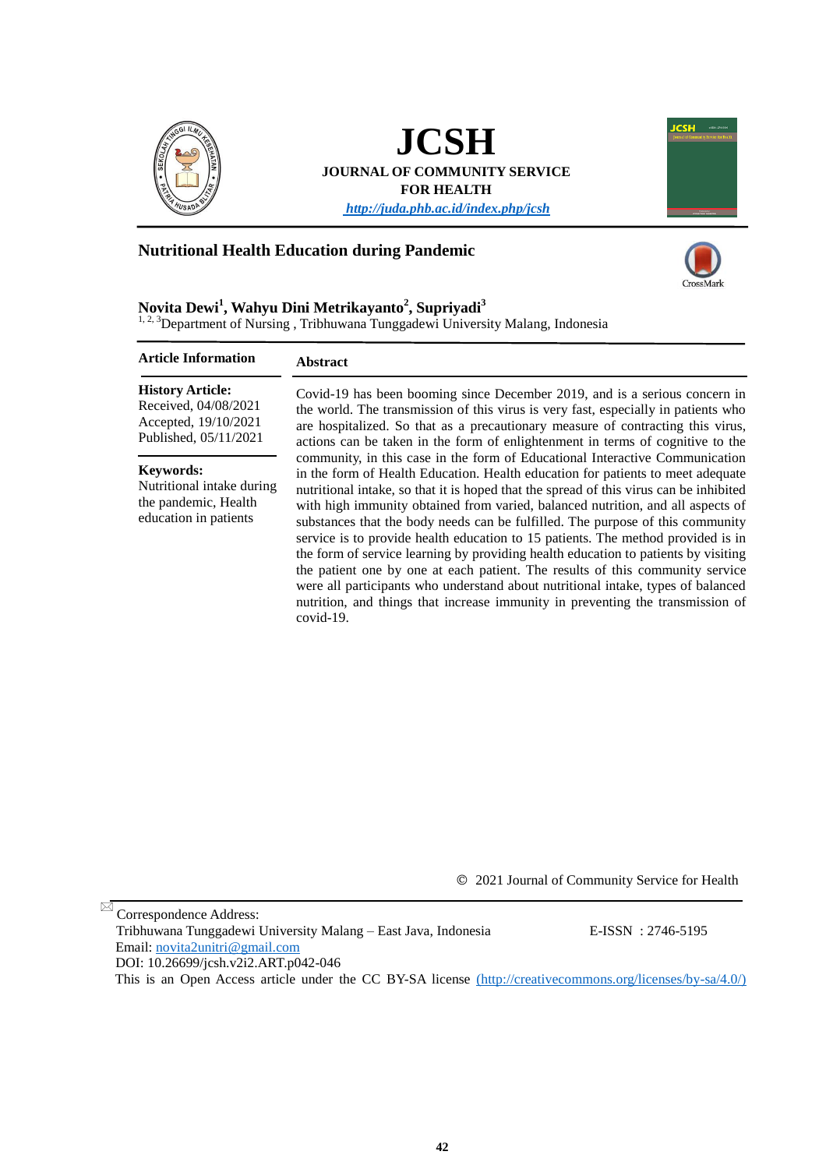

# **JCSH JOURNAL OF COMMUNITY SERVICE FOR HEALTH**

*<http://juda.phb.ac.id/index.php/jcsh>*



### **Nutritional Health Education during Pandemic**



## **Novita Dewi<sup>1</sup> , Wahyu Dini Metrikayanto<sup>2</sup> , Supriyadi<sup>3</sup>**

<sup>1, 2, 3</sup>Department of Nursing, Tribhuwana Tunggadewi University Malang, Indonesia

#### **Article Information**

#### **Abstract**

**History Article:** Received, 04/08/2021 Accepted, 19/10/2021 Published, 05/11/2021

**Keywords:**

Nutritional intake during the pandemic, Health education in patients

Covid-19 has been booming since December 2019, and is a serious concern in the world. The transmission of this virus is very fast, especially in patients who are hospitalized. So that as a precautionary measure of contracting this virus, actions can be taken in the form of enlightenment in terms of cognitive to the community, in this case in the form of Educational Interactive Communication in the form of Health Education. Health education for patients to meet adequate nutritional intake, so that it is hoped that the spread of this virus can be inhibited with high immunity obtained from varied, balanced nutrition, and all aspects of substances that the body needs can be fulfilled. The purpose of this community service is to provide health education to 15 patients. The method provided is in the form of service learning by providing health education to patients by visiting the patient one by one at each patient. The results of this community service were all participants who understand about nutritional intake, types of balanced nutrition, and things that increase immunity in preventing the transmission of covid-19.

© 2021 Journal of Community Service for Health

 Correspondence Address: Tribhuwana Tunggadewi University Malang – East Java, Indonesia E-ISSN : 2746-5195 Email: [novita2unitri@gmail.com](mailto:novita2unitri@gmail.com) DOI: [10.26699/jcsh.v2i2.ART.p042-046](https://doi.org/10.26699/jcsh.v2i2.ART.p042-046) This is an Open Access article under the CC BY-SA license [\(http://creativecommons.org/licenses/by-sa/4.0/\)](file:///C:/Users/Seto/Downloads/(http:/creativecommons.org/licenses/by-sa/4.0/))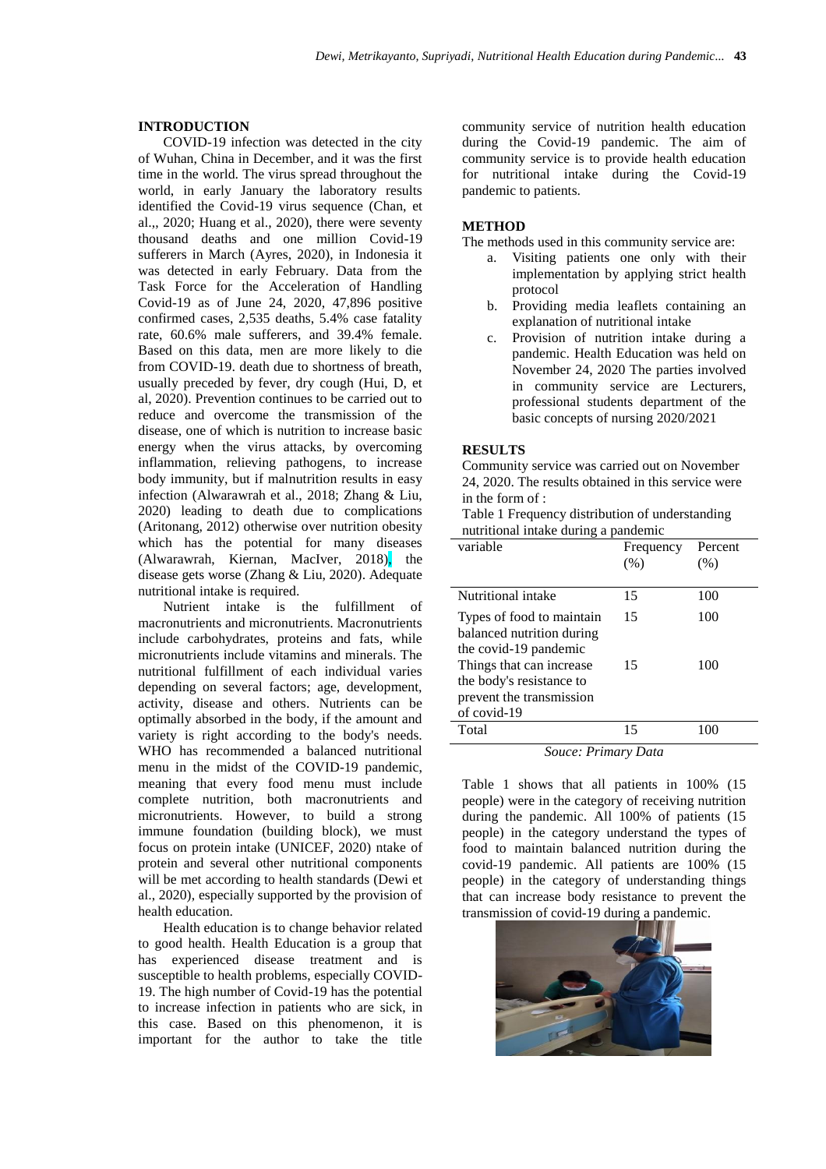#### **INTRODUCTION**

COVID-19 infection was detected in the city of Wuhan, China in December, and it was the first time in the world. The virus spread throughout the world, in early January the laboratory results identified the Covid-19 virus sequence (Chan, et al.,, 2020; Huang et al., 2020), there were seventy thousand deaths and one million Covid-19 sufferers in March (Ayres, 2020), in Indonesia it was detected in early February. Data from the Task Force for the Acceleration of Handling Covid-19 as of June 24, 2020, 47,896 positive confirmed cases, 2,535 deaths, 5.4% case fatality rate, 60.6% male sufferers, and 39.4% female. Based on this data, men are more likely to die from COVID-19. death due to shortness of breath, usually preceded by fever, dry cough (Hui, D, et al, 2020). Prevention continues to be carried out to reduce and overcome the transmission of the disease, one of which is nutrition to increase basic energy when the virus attacks, by overcoming inflammation, relieving pathogens, to increase body immunity, but if malnutrition results in easy infection (Alwarawrah et al., 2018; Zhang & Liu, 2020) leading to death due to complications (Aritonang, 2012) otherwise over nutrition obesity which has the potential for many diseases (Alwarawrah, Kiernan, MacIver, 2018), the disease gets worse (Zhang & Liu, 2020). Adequate nutritional intake is required.

Nutrient intake is the fulfillment of macronutrients and micronutrients. Macronutrients include carbohydrates, proteins and fats, while micronutrients include vitamins and minerals. The nutritional fulfillment of each individual varies depending on several factors; age, development, activity, disease and others. Nutrients can be optimally absorbed in the body, if the amount and variety is right according to the body's needs. WHO has recommended a balanced nutritional menu in the midst of the COVID-19 pandemic, meaning that every food menu must include complete nutrition, both macronutrients and micronutrients. However, to build a strong immune foundation (building block), we must focus on protein intake (UNICEF, 2020) ntake of protein and several other nutritional components will be met according to health standards (Dewi et al., 2020), especially supported by the provision of health education.

Health education is to change behavior related to good health. Health Education is a group that has experienced disease treatment and is susceptible to health problems, especially COVID-19. The high number of Covid-19 has the potential to increase infection in patients who are sick, in this case. Based on this phenomenon, it is important for the author to take the title

community service of nutrition health education during the Covid-19 pandemic. The aim of community service is to provide health education for nutritional intake during the Covid-19 pandemic to patients.

#### **METHOD**

The methods used in this community service are:

- a. Visiting patients one only with their implementation by applying strict health protocol
- b. Providing media leaflets containing an explanation of nutritional intake
- c. Provision of nutrition intake during a pandemic. Health Education was held on November 24, 2020 The parties involved in community service are Lecturers, professional students department of the basic concepts of nursing 2020/2021

#### **RESULTS**

Community service was carried out on November 24, 2020. The results obtained in this service were in the form of :

Table 1 Frequency distribution of understanding nutritional intake during a pandemic

| variable                  | Frequency | Percent |
|---------------------------|-----------|---------|
|                           | (% )      | (% )    |
|                           |           |         |
| Nutritional intake        | 15        | 100     |
| Types of food to maintain | 15        | 100     |
| balanced nutrition during |           |         |
| the covid-19 pandemic     |           |         |
| Things that can increase  | 15        | 100     |
| the body's resistance to  |           |         |
| prevent the transmission  |           |         |
| of covid-19               |           |         |
| Total                     | 15        | 100     |

*Souce: Primary Data*

Table 1 shows that all patients in 100% (15 people) were in the category of receiving nutrition during the pandemic. All 100% of patients (15 people) in the category understand the types of food to maintain balanced nutrition during the covid-19 pandemic. All patients are 100% (15 people) in the category of understanding things that can increase body resistance to prevent the transmission of covid-19 during a pandemic.

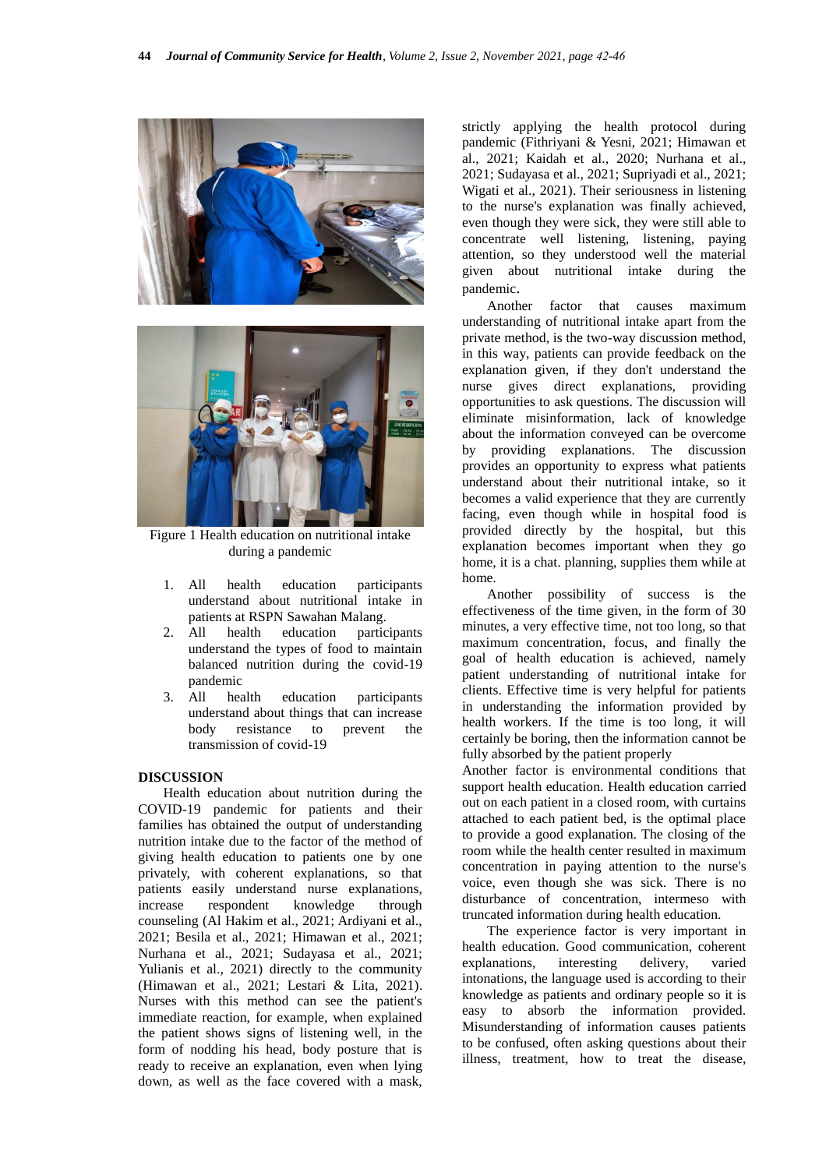



Figure 1 Health education on nutritional intake during a pandemic

- 1. All health education participants understand about nutritional intake in patients at RSPN Sawahan Malang.
- 2. All health education participants understand the types of food to maintain balanced nutrition during the covid-19 pandemic
- 3. All health education participants understand about things that can increase body resistance to prevent the transmission of covid-19

#### **DISCUSSION**

Health education about nutrition during the COVID-19 pandemic for patients and their families has obtained the output of understanding nutrition intake due to the factor of the method of giving health education to patients one by one privately, with coherent explanations, so that patients easily understand nurse explanations, increase respondent knowledge through counseling (Al Hakim et al., 2021; Ardiyani et al., 2021; Besila et al., 2021; Himawan et al., 2021; Nurhana et al., 2021; Sudayasa et al., 2021; Yulianis et al., 2021) directly to the community (Himawan et al., 2021; Lestari & Lita, 2021). Nurses with this method can see the patient's immediate reaction, for example, when explained the patient shows signs of listening well, in the form of nodding his head, body posture that is ready to receive an explanation, even when lying down, as well as the face covered with a mask,

strictly applying the health protocol during pandemic (Fithriyani & Yesni, 2021; Himawan et al., 2021; Kaidah et al., 2020; Nurhana et al., 2021; Sudayasa et al., 2021; Supriyadi et al., 2021; Wigati et al., 2021). Their seriousness in listening to the nurse's explanation was finally achieved, even though they were sick, they were still able to concentrate well listening, listening, paying attention, so they understood well the material given about nutritional intake during the pandemic.

Another factor that causes maximum understanding of nutritional intake apart from the private method, is the two-way discussion method, in this way, patients can provide feedback on the explanation given, if they don't understand the nurse gives direct explanations, providing opportunities to ask questions. The discussion will eliminate misinformation, lack of knowledge about the information conveyed can be overcome by providing explanations. The discussion provides an opportunity to express what patients understand about their nutritional intake, so it becomes a valid experience that they are currently facing, even though while in hospital food is provided directly by the hospital, but this explanation becomes important when they go home, it is a chat. planning, supplies them while at home.

Another possibility of success is the effectiveness of the time given, in the form of 30 minutes, a very effective time, not too long, so that maximum concentration, focus, and finally the goal of health education is achieved, namely patient understanding of nutritional intake for clients. Effective time is very helpful for patients in understanding the information provided by health workers. If the time is too long, it will certainly be boring, then the information cannot be fully absorbed by the patient properly

Another factor is environmental conditions that support health education. Health education carried out on each patient in a closed room, with curtains attached to each patient bed, is the optimal place to provide a good explanation. The closing of the room while the health center resulted in maximum concentration in paying attention to the nurse's voice, even though she was sick. There is no disturbance of concentration, intermeso with truncated information during health education.

The experience factor is very important in health education. Good communication, coherent explanations, interesting delivery, varied intonations, the language used is according to their knowledge as patients and ordinary people so it is easy to absorb the information provided. Misunderstanding of information causes patients to be confused, often asking questions about their illness, treatment, how to treat the disease,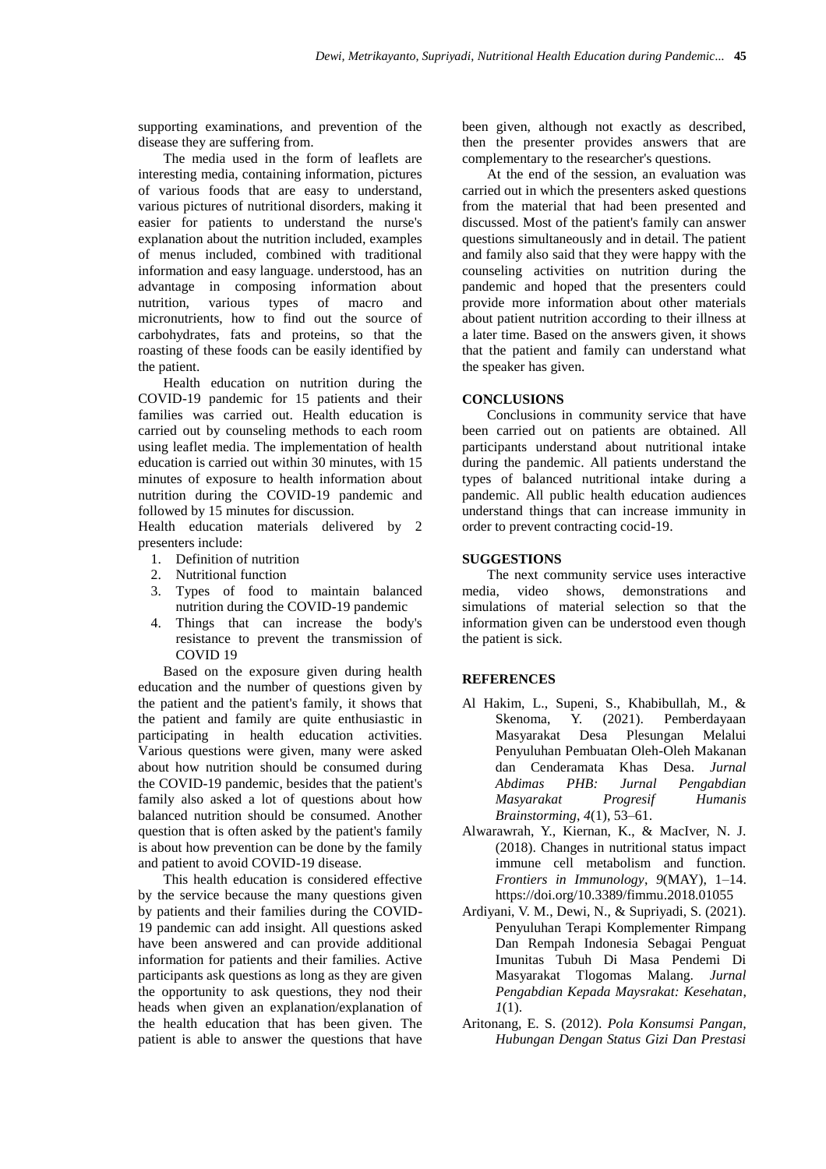supporting examinations, and prevention of the disease they are suffering from.

The media used in the form of leaflets are interesting media, containing information, pictures of various foods that are easy to understand, various pictures of nutritional disorders, making it easier for patients to understand the nurse's explanation about the nutrition included, examples of menus included, combined with traditional information and easy language. understood, has an advantage in composing information about nutrition, various types of macro and micronutrients, how to find out the source of carbohydrates, fats and proteins, so that the roasting of these foods can be easily identified by the patient.

Health education on nutrition during the COVID-19 pandemic for 15 patients and their families was carried out. Health education is carried out by counseling methods to each room using leaflet media. The implementation of health education is carried out within 30 minutes, with 15 minutes of exposure to health information about nutrition during the COVID-19 pandemic and followed by 15 minutes for discussion.

Health education materials delivered by 2 presenters include:

- 1. Definition of nutrition
- 2. Nutritional function<br>3. Types of food to
- Types of food to maintain balanced nutrition during the COVID-19 pandemic
- 4. Things that can increase the body's resistance to prevent the transmission of COVID 19

Based on the exposure given during health education and the number of questions given by the patient and the patient's family, it shows that the patient and family are quite enthusiastic in participating in health education activities. Various questions were given, many were asked about how nutrition should be consumed during the COVID-19 pandemic, besides that the patient's family also asked a lot of questions about how balanced nutrition should be consumed. Another question that is often asked by the patient's family is about how prevention can be done by the family and patient to avoid COVID-19 disease.

This health education is considered effective by the service because the many questions given by patients and their families during the COVID-19 pandemic can add insight. All questions asked have been answered and can provide additional information for patients and their families. Active participants ask questions as long as they are given the opportunity to ask questions, they nod their heads when given an explanation/explanation of the health education that has been given. The patient is able to answer the questions that have

been given, although not exactly as described, then the presenter provides answers that are complementary to the researcher's questions.

At the end of the session, an evaluation was carried out in which the presenters asked questions from the material that had been presented and discussed. Most of the patient's family can answer questions simultaneously and in detail. The patient and family also said that they were happy with the counseling activities on nutrition during the pandemic and hoped that the presenters could provide more information about other materials about patient nutrition according to their illness at a later time. Based on the answers given, it shows that the patient and family can understand what the speaker has given.

#### **CONCLUSIONS**

Conclusions in community service that have been carried out on patients are obtained. All participants understand about nutritional intake during the pandemic. All patients understand the types of balanced nutritional intake during a pandemic. All public health education audiences understand things that can increase immunity in order to prevent contracting cocid-19.

#### **SUGGESTIONS**

The next community service uses interactive media, video shows, demonstrations and simulations of material selection so that the information given can be understood even though the patient is sick.

#### **REFERENCES**

- Al Hakim, L., Supeni, S., Khabibullah, M., & Skenoma, Y. (2021). Pemberdayaan Masyarakat Desa Plesungan Melalui Penyuluhan Pembuatan Oleh-Oleh Makanan dan Cenderamata Khas Desa. *Jurnal Abdimas PHB: Jurnal Pengabdian Masyarakat Progresif Humanis Brainstorming*, *4*(1), 53–61.
- Alwarawrah, Y., Kiernan, K., & MacIver, N. J. (2018). Changes in nutritional status impact immune cell metabolism and function. *Frontiers in Immunology*, *9*(MAY), 1–14. https://doi.org/10.3389/fimmu.2018.01055
- Ardiyani, V. M., Dewi, N., & Supriyadi, S. (2021). Penyuluhan Terapi Komplementer Rimpang Dan Rempah Indonesia Sebagai Penguat Imunitas Tubuh Di Masa Pendemi Di Masyarakat Tlogomas Malang. *Jurnal Pengabdian Kepada Maysrakat: Kesehatan*, *1*(1).
- Aritonang, E. S. (2012). *Pola Konsumsi Pangan, Hubungan Dengan Status Gizi Dan Prestasi*